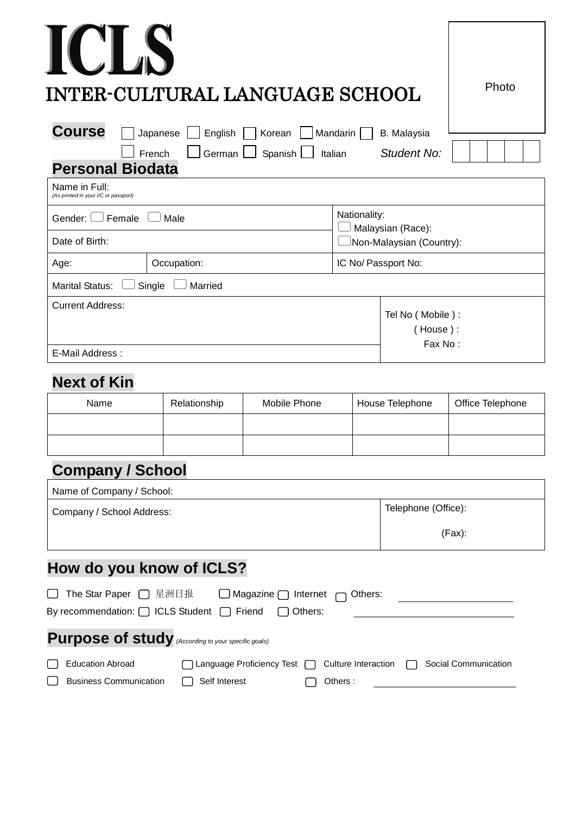| <b>CLS</b>                                                                | INTER-CULTURAL LANGUAGE SCHOOL |                     |                                               | Photo |  |
|---------------------------------------------------------------------------|--------------------------------|---------------------|-----------------------------------------------|-------|--|
|                                                                           |                                |                     |                                               |       |  |
| <b>Course</b><br>Japanese                                                 | <b>B.</b> Malaysia             |                     |                                               |       |  |
| Mandarin<br>English<br>Korean<br>German  <br>Spanish<br>French<br>Italian |                                |                     | Student No:                                   |       |  |
| <b>Personal Biodata</b>                                                   |                                |                     |                                               |       |  |
| Name in Full:<br>(As printed in your I/C or passport)                     |                                |                     |                                               |       |  |
| Gender: L<br>Female<br>Male                                               |                                |                     | Nationality:                                  |       |  |
| Date of Birth:                                                            |                                |                     | Malaysian (Race):<br>Non-Malaysian (Country): |       |  |
| Age:                                                                      | Occupation:                    | IC No/ Passport No: |                                               |       |  |
| <b>Marital Status:</b>                                                    | Single<br>Married              |                     |                                               |       |  |
| <b>Current Address:</b>                                                   |                                |                     | Tel No (Mobile):                              |       |  |
|                                                                           |                                |                     | House):                                       |       |  |

E-Mail Address :

### **Next of Kin**

| Name | Relationship | Mobile Phone | House Telephone | Office Telephone |
|------|--------------|--------------|-----------------|------------------|
|      |              |              |                 |                  |
|      |              |              |                 |                  |

Fax No :

## **Company / School**

| Company / School Address:                                                 | Telephone (Office): |
|---------------------------------------------------------------------------|---------------------|
|                                                                           | $(Fax)$ :           |
|                                                                           |                     |
|                                                                           |                     |
|                                                                           |                     |
| How do you know of ICLS?<br>The Star Paper □ 星洲日报 □ Magazine □ Internet □ | Others:             |

| <b>Education Abroad</b> | □ Language Proficiency Test □ Culture Interaction □ Social Communication |                 |  |
|-------------------------|--------------------------------------------------------------------------|-----------------|--|
|                         |                                                                          | $\Box$ Others : |  |